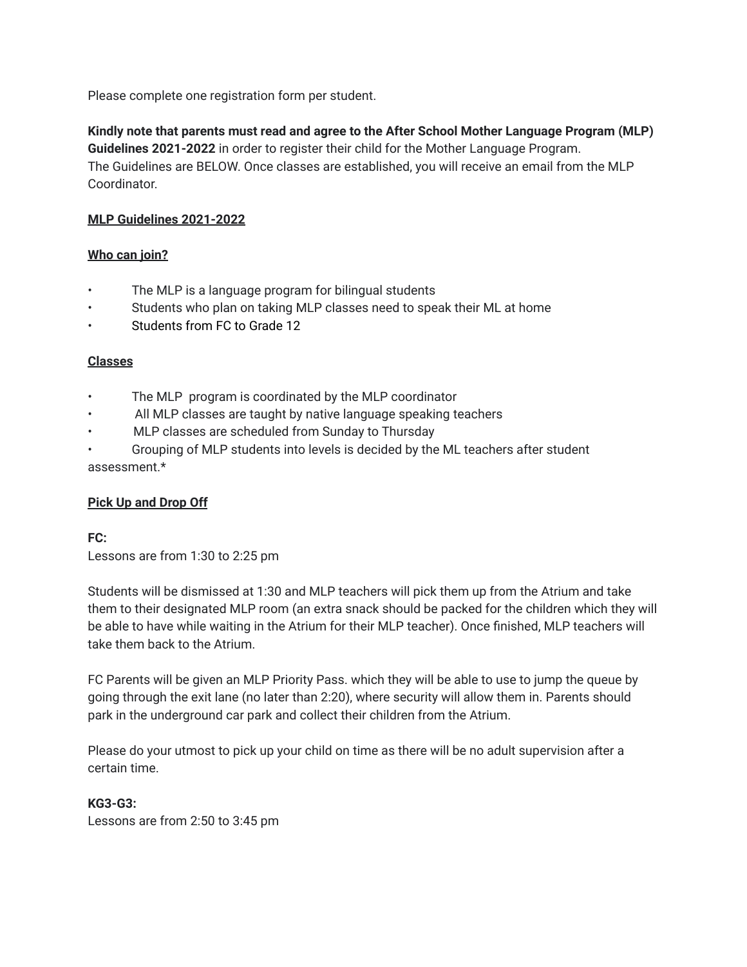Please complete one registration form per student.

**Kindly note that parents must read and agree to the After School Mother Language Program (MLP) Guidelines 2021-2022** in order to register their child for the Mother Language Program. The Guidelines are BELOW. Once classes are established, you will receive an email from the MLP Coordinator.

## **MLP Guidelines 2021-2022**

## **Who can join?**

- The MLP is a language program for bilingual students
- Students who plan on taking MLP classes need to speak their ML at home
- Students from FC to Grade 12

## **Classes**

- The MLP program is coordinated by the MLP coordinator
- All MLP classes are taught by native language speaking teachers
- MLP classes are scheduled from Sunday to Thursday
- Grouping of MLP students into levels is decided by the ML teachers after student assessment.\*

## **Pick Up and Drop Off**

# **FC:**

Lessons are from 1:30 to 2:25 pm

Students will be dismissed at 1:30 and MLP teachers will pick them up from the Atrium and take them to their designated MLP room (an extra snack should be packed for the children which they will be able to have while waiting in the Atrium for their MLP teacher). Once finished, MLP teachers will take them back to the Atrium.

FC Parents will be given an MLP Priority Pass. which they will be able to use to jump the queue by going through the exit lane (no later than 2:20), where security will allow them in. Parents should park in the underground car park and collect their children from the Atrium.

Please do your utmost to pick up your child on time as there will be no adult supervision after a certain time.

## **KG3-G3:**

Lessons are from 2:50 to 3:45 pm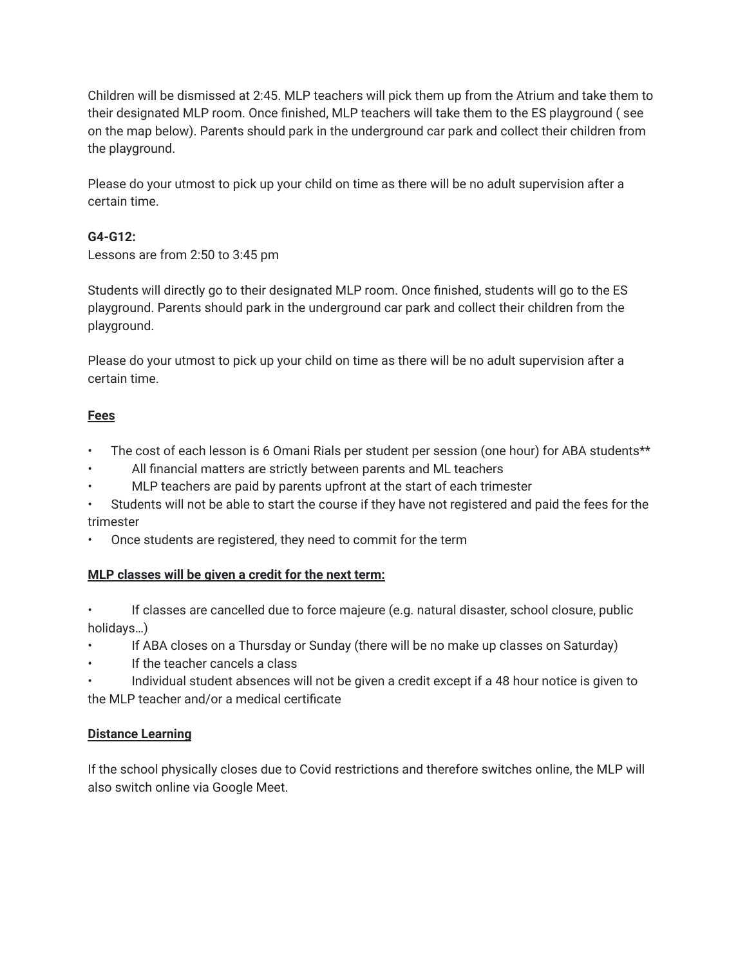Children will be dismissed at 2:45. MLP teachers will pick them up from the Atrium and take them to their designated MLP room. Once finished, MLP teachers will take them to the ES playground ( see on the map below). Parents should park in the underground car park and collect their children from the playground.

Please do your utmost to pick up your child on time as there will be no adult supervision after a certain time.

# **G4-G12:**

Lessons are from 2:50 to 3:45 pm

Students will directly go to their designated MLP room. Once finished, students will go to the ES playground. Parents should park in the underground car park and collect their children from the playground.

Please do your utmost to pick up your child on time as there will be no adult supervision after a certain time.

## **Fees**

- The cost of each lesson is 6 Omani Rials per student per session (one hour) for ABA students\*\*
- All financial matters are strictly between parents and ML teachers
- MLP teachers are paid by parents upfront at the start of each trimester
- Students will not be able to start the course if they have not registered and paid the fees for the trimester
- Once students are registered, they need to commit for the term

## **MLP classes will be given a credit for the next term:**

• If classes are cancelled due to force majeure (e.g. natural disaster, school closure, public holidays…)

- If ABA closes on a Thursday or Sunday (there will be no make up classes on Saturday)
- If the teacher cancels a class
- Individual student absences will not be given a credit except if a 48 hour notice is given to the MLP teacher and/or a medical certificate

# **Distance Learning**

If the school physically closes due to Covid restrictions and therefore switches online, the MLP will also switch online via Google Meet.